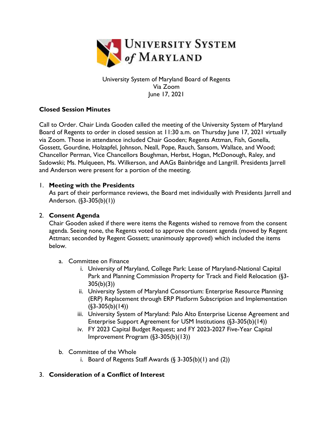

University System of Maryland Board of Regents Via Zoom June 17, 2021

## **Closed Session Minutes**

Call to Order. Chair Linda Gooden called the meeting of the University System of Maryland Board of Regents to order in closed session at 11:30 a.m. on Thursday June 17, 2021 virtually via Zoom. Those in attendance included Chair Gooden; Regents Attman, Fish, Gonella, Gossett, Gourdine, Holzapfel, Johnson, Neall, Pope, Rauch, Sansom, Wallace, and Wood; Chancellor Perman, Vice Chancellors Boughman, Herbst, Hogan, McDonough, Raley, and Sadowski; Ms. Mulqueen, Ms. Wilkerson, and AAGs Bainbridge and Langrill. Presidents Jarrell and Anderson were present for a portion of the meeting.

### 1. **Meeting with the Presidents**

As part of their performance reviews, the Board met individually with Presidents Jarrell and Anderson. (§3-305(b)(1))

### 2. **Consent Agenda**

Chair Gooden asked if there were items the Regents wished to remove from the consent agenda. Seeing none, the Regents voted to approve the consent agenda (moved by Regent Attman; seconded by Regent Gossett; unanimously approved) which included the items below.

- a. Committee on Finance
	- i. University of Maryland, College Park: Lease of Maryland-National Capital Park and Planning Commission Property for Track and Field Relocation (§3- 305(b)(3))
	- ii. University System of Maryland Consortium: Enterprise Resource Planning (ERP) Replacement through ERP Platform Subscription and Implementation  $(S3-305(b)(14))$
	- iii. University System of Maryland: Palo Alto Enterprise License Agreement and Enterprise Support Agreement for USM Institutions (§3-305(b)(14))
	- iv. FY 2023 Capital Budget Request; and FY 2023-2027 Five-Year Capital Improvement Program (§3-305(b)(13))
- b. Committee of the Whole
	- i. Board of Regents Staff Awards  $(\S$  3-305(b)(1) and (2))

# 3. **Consideration of a Conflict of Interest**